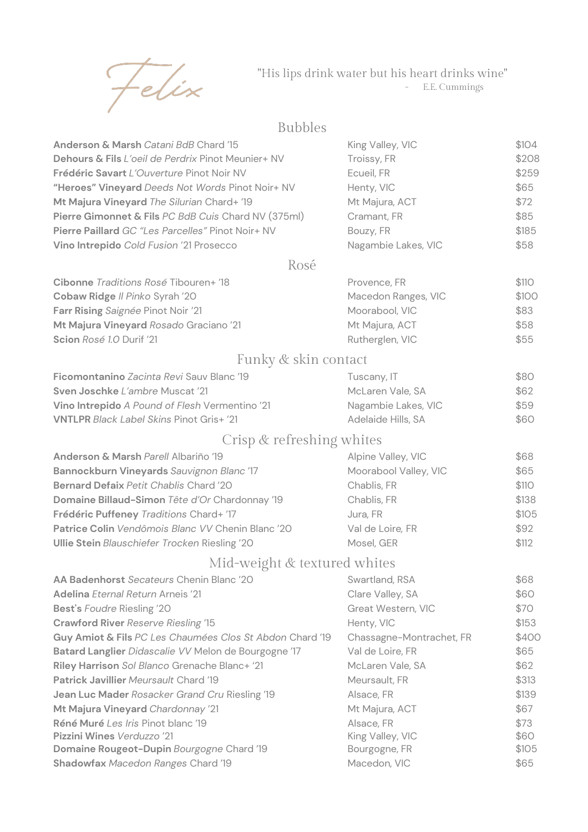

## "His lips drink water but his heart drinks wine" - E.E. Cummings

## Bubbles

| Anderson & Marsh Catani BdB Chard '15                    | King Valley, VIC         | \$104 |
|----------------------------------------------------------|--------------------------|-------|
| Dehours & Fils L'oeil de Perdrix Pinot Meunier+ NV       | Troissy, FR              | \$208 |
| Frédéric Savart L'Ouverture Pinot Noir NV                | Ecueil, FR               | \$259 |
| "Heroes" Vineyard Deeds Not Words Pinot Noir+ NV         | Henty, VIC               | \$65  |
| Mt Majura Vineyard The Silurian Chard+ '19               | Mt Majura, ACT           | \$72  |
| Pierre Gimonnet & Fils PC BdB Cuis Chard NV (375ml)      | Cramant, FR              | \$85  |
| Pierre Paillard GC "Les Parcelles" Pinot Noir+ NV        | Bouzy, FR                | \$185 |
| Vino Intrepido Cold Fusion '21 Prosecco                  | Nagambie Lakes, VIC      | \$58  |
| Rosé                                                     |                          |       |
| Cibonne Traditions Rosé Tibouren+ '18                    | Provence, FR             | \$110 |
| Cobaw Ridge Il Pinko Syrah '20                           | Macedon Ranges, VIC      | \$100 |
| Farr Rising Saignée Pinot Noir '21                       | Moorabool, VIC           | \$83  |
| Mt Majura Vineyard Rosado Graciano '21                   | Mt Majura, ACT           | \$58  |
| Scion Rosé 1.0 Durif '21                                 | Rutherglen, VIC          | \$55  |
| Funky & skin contact                                     |                          |       |
| Ficomontanino Zacinta Revi Sauv Blanc '19                | Tuscany, IT              | \$80  |
| Sven Joschke L'ambre Muscat '21                          | McLaren Vale, SA         | \$62  |
| Vino Intrepido A Pound of Flesh Vermentino '21           | Nagambie Lakes, VIC      | \$59  |
| <b>VNTLPR</b> Black Label Skins Pinot Gris+ '21          | Adelaide Hills, SA       | \$60  |
| Crisp & refreshing whites                                |                          |       |
| Anderson & Marsh Parell Albariño '19                     | Alpine Valley, VIC       | \$68  |
| Bannockburn Vineyards Sauvignon Blanc '17                | Moorabool Valley, VIC    | \$65  |
| <b>Bernard Defaix Petit Chablis Chard '20</b>            | Chablis, FR              | \$110 |
| Domaine Billaud-Simon Tête d'Or Chardonnay '19           | Chablis, FR              | \$138 |
| Frédéric Puffeney Traditions Chard+ '17                  | Jura, FR                 | \$105 |
| Patrice Colin Vendômois Blanc VV Chenin Blanc '20        | Val de Loire, FR         | \$92  |
| Ullie Stein Blauschiefer Trocken Riesling '20            | Mosel, GER               | \$112 |
| Mid-weight & textured whites                             |                          |       |
| AA Badenhorst Secateurs Chenin Blanc '20                 | Swartland, RSA           | \$68  |
| Adelina Eternal Return Arneis '21                        | Clare Valley, SA         | \$60  |
| Best's Foudre Riesling '20                               | Great Western, VIC       | \$70  |
| Crawford River Reserve Riesling '15                      | Henty, VIC               | \$153 |
| Guy Amiot & Fils PC Les Chaumées Clos St Abdon Chard '19 | Chassagne-Montrachet, FR | \$400 |
| Batard Langlier Didascalie VV Melon de Bourgogne '17     | Val de Loire, FR         | \$65  |
| Riley Harrison Sol Blanco Grenache Blanc+ '21            | McLaren Vale, SA         | \$62  |
| <b>Patrick Javillier Meursault Chard '19</b>             | Meursault, FR            | \$313 |
| Jean Luc Mader Rosacker Grand Cru Riesling '19           | Alsace, FR               | \$139 |
| Mt Majura Vineyard Chardonnay '21                        | Mt Majura, ACT           | \$67  |
| Réné Muré Les Iris Pinot blanc '19                       | Alsace, FR               | \$73  |
| Pizzini Wines Verduzzo '21                               | King Valley, VIC         | \$60  |
| Domaine Rougeot-Dupin Bourgogne Chard '19                | Bourgogne, FR            | \$105 |
| Shadowfax Macedon Ranges Chard '19                       | Macedon, VIC             | \$65  |
|                                                          |                          |       |